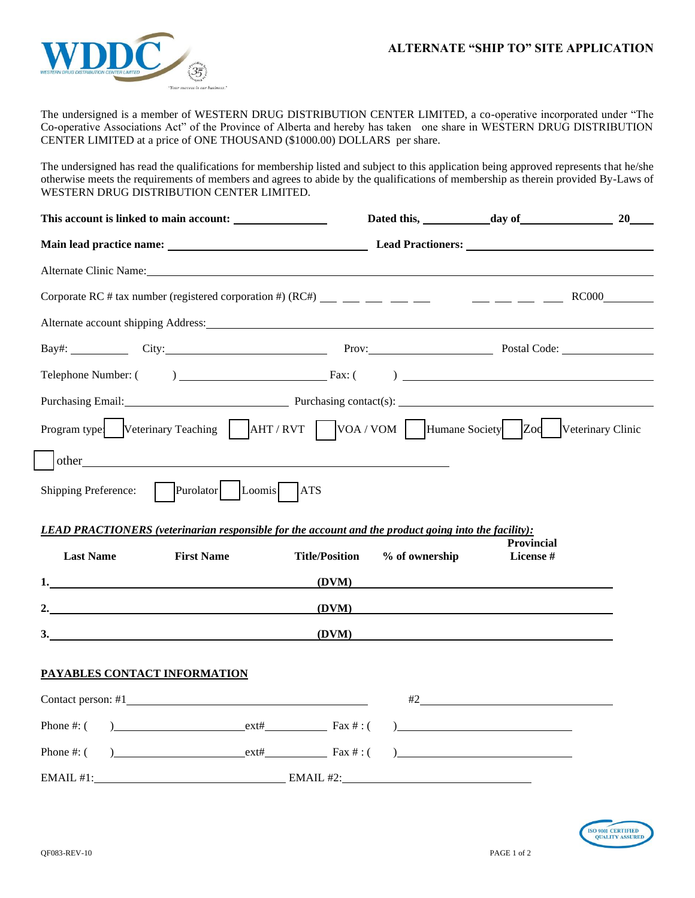

The undersigned is a member of WESTERN DRUG DISTRIBUTION CENTER LIMITED, a co-operative incorporated under "The Co-operative Associations Act" of the Province of Alberta and hereby has taken one share in WESTERN DRUG DISTRIBUTION CENTER LIMITED at a price of ONE THOUSAND (\$1000.00) DOLLARS per share.

The undersigned has read the qualifications for membership listed and subject to this application being approved represents that he/she otherwise meets the requirements of members and agrees to abide by the qualifications of membership as therein provided By-Laws of WESTERN DRUG DISTRIBUTION CENTER LIMITED.

|                                                                                                                                                                                                                                |                | 20                                                                                                                                                                                                                                                                                                                                                                                                                                                                                                                            |  |
|--------------------------------------------------------------------------------------------------------------------------------------------------------------------------------------------------------------------------------|----------------|-------------------------------------------------------------------------------------------------------------------------------------------------------------------------------------------------------------------------------------------------------------------------------------------------------------------------------------------------------------------------------------------------------------------------------------------------------------------------------------------------------------------------------|--|
|                                                                                                                                                                                                                                |                |                                                                                                                                                                                                                                                                                                                                                                                                                                                                                                                               |  |
| Alternate Clinic Name: 1988 and 2008 and 2008 and 2008 and 2008 and 2008 and 2008 and 2008 and 2008 and 2008 and 2008 and 2008 and 2008 and 2008 and 2008 and 2008 and 2008 and 2008 and 2008 and 2008 and 2008 and 2008 and 2 |                |                                                                                                                                                                                                                                                                                                                                                                                                                                                                                                                               |  |
|                                                                                                                                                                                                                                |                |                                                                                                                                                                                                                                                                                                                                                                                                                                                                                                                               |  |
| Alternate account shipping Address: Manual Account 2014 19:00 Address: Alternate account shipping Address:                                                                                                                     |                |                                                                                                                                                                                                                                                                                                                                                                                                                                                                                                                               |  |
| Bay#: City: City: City: Prov: Prov: Postal Code:                                                                                                                                                                               |                |                                                                                                                                                                                                                                                                                                                                                                                                                                                                                                                               |  |
| Telephone Number: $\begin{pmatrix} 0 & 1 \end{pmatrix}$ Fax: $\begin{pmatrix} 0 & 1 \end{pmatrix}$                                                                                                                             |                |                                                                                                                                                                                                                                                                                                                                                                                                                                                                                                                               |  |
| Purchasing Email: Purchasing contact(s):                                                                                                                                                                                       |                |                                                                                                                                                                                                                                                                                                                                                                                                                                                                                                                               |  |
| Program type Veterinary Teaching AHT / RVT VOA / VOM Humane Society Zod Veterinary Clinic                                                                                                                                      |                |                                                                                                                                                                                                                                                                                                                                                                                                                                                                                                                               |  |
| other                                                                                                                                                                                                                          |                |                                                                                                                                                                                                                                                                                                                                                                                                                                                                                                                               |  |
| Purolator<br>Loomis<br><b>ATS</b><br>Shipping Preference:                                                                                                                                                                      |                |                                                                                                                                                                                                                                                                                                                                                                                                                                                                                                                               |  |
|                                                                                                                                                                                                                                |                |                                                                                                                                                                                                                                                                                                                                                                                                                                                                                                                               |  |
| <b>LEAD PRACTIONERS</b> (veterinarian responsible for the account and the product going into the facility):                                                                                                                    |                |                                                                                                                                                                                                                                                                                                                                                                                                                                                                                                                               |  |
| <b>Last Name</b><br><b>First Name</b><br><b>Title/Position</b>                                                                                                                                                                 | % of ownership | <b>Provincial</b><br>License #                                                                                                                                                                                                                                                                                                                                                                                                                                                                                                |  |
| (DVM)                                                                                                                                                                                                                          |                |                                                                                                                                                                                                                                                                                                                                                                                                                                                                                                                               |  |
| (DVM)                                                                                                                                                                                                                          |                |                                                                                                                                                                                                                                                                                                                                                                                                                                                                                                                               |  |
| 3.                                                                                                                                                                                                                             | (DVM)          |                                                                                                                                                                                                                                                                                                                                                                                                                                                                                                                               |  |
| PAYABLES CONTACT INFORMATION                                                                                                                                                                                                   |                |                                                                                                                                                                                                                                                                                                                                                                                                                                                                                                                               |  |
|                                                                                                                                                                                                                                |                |                                                                                                                                                                                                                                                                                                                                                                                                                                                                                                                               |  |
| $\text{ext}\#$ Fax $\#$ : (<br>Phone $\#$ : $($                                                                                                                                                                                |                | $#2$ and $#2$ and $#2$ and $#2$ and $#2$ and $#2$ and $#2$ and $#2$ and $#2$ and $#2$ and $#2$ and $#2$ and $#2$ and $#2$ and $#2$ and $#2$ and $#2$ and $#2$ and $#2$ and $#2$ and $#2$ and $#2$ and $#2$ and $#2$ and $#2$<br>$\frac{1}{2}$ and $\frac{1}{2}$ and $\frac{1}{2}$ and $\frac{1}{2}$ and $\frac{1}{2}$ and $\frac{1}{2}$ and $\frac{1}{2}$ and $\frac{1}{2}$ and $\frac{1}{2}$ and $\frac{1}{2}$ and $\frac{1}{2}$ and $\frac{1}{2}$ and $\frac{1}{2}$ and $\frac{1}{2}$ and $\frac{1}{2}$ and $\frac{1}{2}$ a |  |
| $\csc \frac{1}{2}$ Fax #: (<br>Phone $\#$ : (                                                                                                                                                                                  |                | $\begin{array}{c} \hline \end{array}$                                                                                                                                                                                                                                                                                                                                                                                                                                                                                         |  |